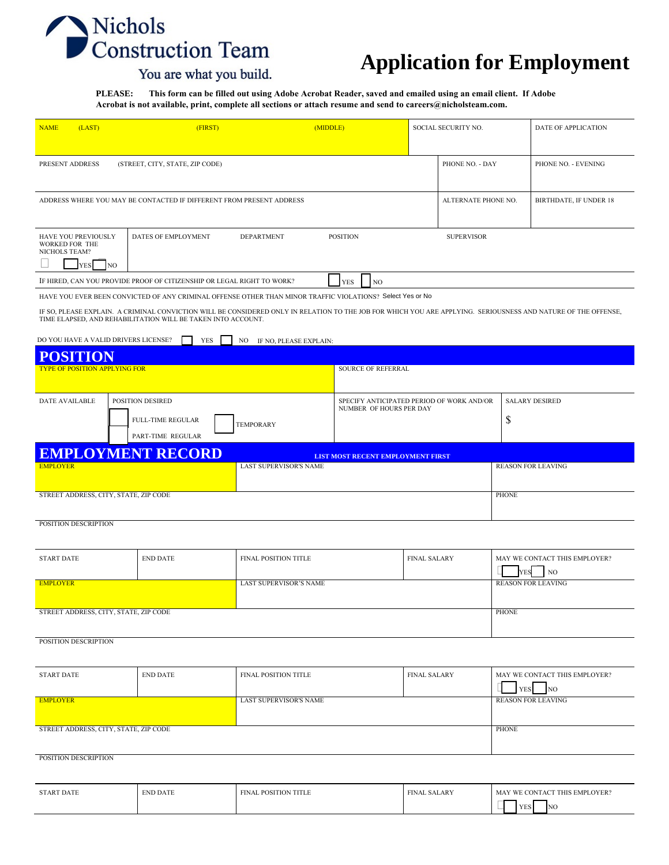# Nichols<br>Construction Team

## **Application for Employment**

### You are what you build.

**PLEASE: This form can be filled out using Adobe Acrobat Reader, saved and emailed using an email client. If Adobe Acrobat is not available, print, complete all sections or attach resume and send to careers@nicholsteam.com.**

| <b>NAME</b><br>(LAST)                                                                                                                                                                                                                                                                                                                        | (FIRST)                                                              |                                                                      | (MIDDLE)<br>SOCIAL SECURITY NO.          |                     |                 |                                            | DATE OF APPLICATION                             |  |
|----------------------------------------------------------------------------------------------------------------------------------------------------------------------------------------------------------------------------------------------------------------------------------------------------------------------------------------------|----------------------------------------------------------------------|----------------------------------------------------------------------|------------------------------------------|---------------------|-----------------|--------------------------------------------|-------------------------------------------------|--|
| PRESENT ADDRESS                                                                                                                                                                                                                                                                                                                              | (STREET, CITY, STATE, ZIP CODE)                                      |                                                                      |                                          |                     | PHONE NO. - DAY |                                            | PHONE NO. - EVENING                             |  |
|                                                                                                                                                                                                                                                                                                                                              | ADDRESS WHERE YOU MAY BE CONTACTED IF DIFFERENT FROM PRESENT ADDRESS |                                                                      |                                          | ALTERNATE PHONE NO. |                 | BIRTHDATE, IF UNDER 18                     |                                                 |  |
| HAVE YOU PREVIOUSLY<br>WORKED FOR THE<br>NICHOLS TEAM?                                                                                                                                                                                                                                                                                       | DATES OF EMPLOYMENT                                                  | <b>DEPARTMENT</b><br><b>POSITION</b><br><b>SUPERVISOR</b>            |                                          |                     |                 |                                            |                                                 |  |
| NO <sub>1</sub><br>YES<br>IF HIRED, CAN YOU PROVIDE PROOF OF CITIZENSHIP OR LEGAL RIGHT TO WORK?                                                                                                                                                                                                                                             |                                                                      |                                                                      |                                          |                     |                 |                                            |                                                 |  |
|                                                                                                                                                                                                                                                                                                                                              |                                                                      |                                                                      | <b>NO</b><br>YES                         |                     |                 |                                            |                                                 |  |
| HAVE YOU EVER BEEN CONVICTED OF ANY CRIMINAL OFFENSE OTHER THAN MINOR TRAFFIC VIOLATIONS? Select Yes or No<br>IF SO, PLEASE EXPLAIN. A CRIMINAL CONVICTION WILL BE CONSIDERED ONLY IN RELATION TO THE JOB FOR WHICH YOU ARE APPLYING. SERIOUSNESS AND NATURE OF THE OFFENSE,<br>TIME ELAPSED, AND REHABILITATION WILL BE TAKEN INTO ACCOUNT. |                                                                      |                                                                      |                                          |                     |                 |                                            |                                                 |  |
| DO YOU HAVE A VALID DRIVERS LICENSE?                                                                                                                                                                                                                                                                                                         | YES                                                                  | NO<br>IF NO, PLEASE EXPLAIN:                                         |                                          |                     |                 |                                            |                                                 |  |
|                                                                                                                                                                                                                                                                                                                                              |                                                                      |                                                                      |                                          |                     |                 |                                            |                                                 |  |
| <b>TYPE OF POSITION APPLYING FOR</b>                                                                                                                                                                                                                                                                                                         |                                                                      |                                                                      | SOURCE OF REFERRAL                       |                     |                 |                                            |                                                 |  |
| <b>DATE AVAILABLE</b>                                                                                                                                                                                                                                                                                                                        | POSITION DESIRED                                                     | SPECIFY ANTICIPATED PERIOD OF WORK AND/OR<br>NUMBER OF HOURS PER DAY |                                          |                     |                 | <b>SALARY DESIRED</b>                      |                                                 |  |
|                                                                                                                                                                                                                                                                                                                                              | FULL-TIME REGULAR<br>PART-TIME REGULAR                               | <b>TEMPORARY</b>                                                     |                                          | \$                  |                 |                                            |                                                 |  |
| <b>EMPLOYMENT RECORD</b>                                                                                                                                                                                                                                                                                                                     |                                                                      |                                                                      | <b>LIST MOST RECENT EMPLOYMENT FIRST</b> |                     |                 |                                            |                                                 |  |
| <b>EMPLOYER</b>                                                                                                                                                                                                                                                                                                                              |                                                                      | <b>LAST SUPERVISOR'S NAME</b>                                        |                                          |                     |                 |                                            | <b>REASON FOR LEAVING</b>                       |  |
| STREET ADDRESS, CITY, STATE, ZIP CODE                                                                                                                                                                                                                                                                                                        |                                                                      |                                                                      |                                          |                     |                 | <b>PHONE</b>                               |                                                 |  |
| POSITION DESCRIPTION                                                                                                                                                                                                                                                                                                                         |                                                                      |                                                                      |                                          |                     |                 |                                            |                                                 |  |
| <b>START DATE</b>                                                                                                                                                                                                                                                                                                                            | <b>END DATE</b>                                                      | FINAL POSITION TITLE                                                 |                                          | <b>FINAL SALARY</b> |                 |                                            | MAY WE CONTACT THIS EMPLOYER?<br>NO             |  |
| <b>EMPLOYER</b>                                                                                                                                                                                                                                                                                                                              | <b>REASON FOR LEAVING</b>                                            |                                                                      |                                          |                     |                 |                                            |                                                 |  |
| STREET ADDRESS, CITY, STATE, ZIP CODE<br><b>PHONE</b>                                                                                                                                                                                                                                                                                        |                                                                      |                                                                      |                                          |                     |                 |                                            |                                                 |  |
| POSITION DESCRIPTION                                                                                                                                                                                                                                                                                                                         |                                                                      |                                                                      |                                          |                     |                 |                                            |                                                 |  |
| <b>START DATE</b>                                                                                                                                                                                                                                                                                                                            | <b>END DATE</b>                                                      | <b>FINAL SALARY</b><br><b>FINAL POSITION TITLE</b>                   |                                          |                     | <b>YES</b>      | MAY WE CONTACT THIS EMPLOYER?<br><b>NO</b> |                                                 |  |
| <b>EMPLOYER</b>                                                                                                                                                                                                                                                                                                                              | LAST SUPERVISOR'S NAME                                               |                                                                      |                                          |                     |                 | <b>REASON FOR LEAVING</b>                  |                                                 |  |
| STREET ADDRESS, CITY, STATE, ZIP CODE                                                                                                                                                                                                                                                                                                        |                                                                      |                                                                      |                                          | <b>PHONE</b>        |                 |                                            |                                                 |  |
| POSITION DESCRIPTION                                                                                                                                                                                                                                                                                                                         |                                                                      |                                                                      |                                          |                     |                 |                                            |                                                 |  |
| <b>START DATE</b>                                                                                                                                                                                                                                                                                                                            | <b>END DATE</b>                                                      | FINAL POSITION TITLE                                                 |                                          | <b>FINAL SALARY</b> |                 | <b>YES</b>                                 | MAY WE CONTACT THIS EMPLOYER?<br>N <sub>O</sub> |  |